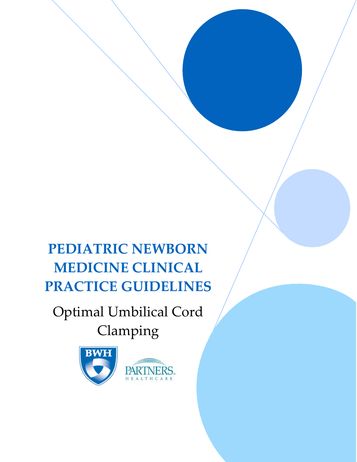**PEDIATRIC NEWBORN MEDICINE CLINICAL PRACTICE GUIDELINES**

Optimal Umbilical Cord

Clamping

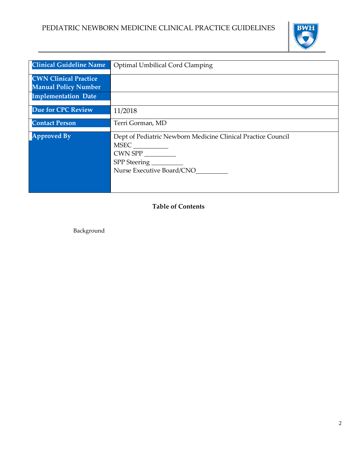

| <b>Clinical Guideline Name</b> | Optimal Umbilical Cord Clamping                              |
|--------------------------------|--------------------------------------------------------------|
| <b>CWN Clinical Practice</b>   |                                                              |
| <b>Manual Policy Number</b>    |                                                              |
|                                |                                                              |
| <b>Implementation Date</b>     |                                                              |
|                                |                                                              |
| <b>Due for CPC Review</b>      | 11/2018                                                      |
| <b>Contact Person</b>          | Terri Gorman, MD                                             |
|                                |                                                              |
| <b>Approved By</b>             | Dept of Pediatric Newborn Medicine Clinical Practice Council |
|                                |                                                              |
|                                |                                                              |
|                                | $CWN$ SPP $\_\_\_\_\_\_\_\_\_$                               |
|                                | SPP Steering                                                 |
|                                | Nurse Executive Board/CNO                                    |
|                                |                                                              |
|                                |                                                              |
|                                |                                                              |
|                                |                                                              |

**Table of Contents**

Background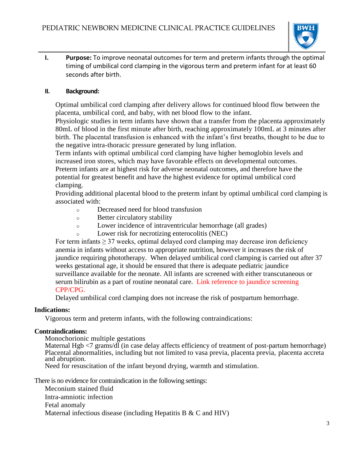

**I. Purpose:** To improve neonatal outcomes for term and preterm infants through the optimal timing of umbilical cord clamping in the vigorous term and preterm infant for at least 60 seconds after birth.

### **II. Background:**

Optimal umbilical cord clamping after delivery allows for continued blood flow between the placenta, umbilical cord, and baby, with net blood flow to the infant.

Physiologic studies in term infants have shown that a transfer from the placenta approximately 80mL of blood in the first minute after birth, reaching approximately 100mL at 3 minutes after birth. The placental transfusion is enhanced with the infant's first breaths, thought to be due to the negative intra-thoracic pressure generated by lung inflation.

Term infants with optimal umbilical cord clamping have higher hemoglobin levels and increased iron stores, which may have favorable effects on developmental outcomes. Preterm infants are at highest risk for adverse neonatal outcomes, and therefore have the potential for greatest benefit and have the highest evidence for optimal umbilical cord clamping.

Providing additional placental blood to the preterm infant by optimal umbilical cord clamping is associated with:

- o Decreased need for blood transfusion
- o Better circulatory stability
- o Lower incidence of intraventricular hemorrhage (all grades)
- Lower risk for necrotizing enterocolitis (NEC)

For term infants  $\geq$  37 weeks, optimal delayed cord clamping may decrease iron deficiency anemia in infants without access to appropriate nutrition, however it increases the risk of jaundice requiring phototherapy. When delayed umbilical cord clamping is carried out after 37 weeks gestational age, it should be ensured that there is adequate pediatric jaundice surveillance available for the neonate. All infants are screened with either transcutaneous or serum bilirubin as a part of routine neonatal care. Link reference to jaundice screening CPP/CPG.

Delayed umbilical cord clamping does not increase the risk of postpartum hemorrhage.

#### **Indications:**

Vigorous term and preterm infants, with the following contraindications:

#### **Contraindications:**

Monochorionic multiple gestations

Maternal Hgb <7 grams/dl (in case delay affects efficiency of treatment of post-partum hemorrhage) Placental abnormalities, including but not limited to vasa previa, placenta previa, placenta accreta and abruption.

Need for resuscitation of the infant beyond drying, warmth and stimulation.

There is no evidence for contraindication in the following settings:

Meconium stained fluid Intra-amniotic infection Fetal anomaly Maternal infectious disease (including Hepatitis B & C and HIV)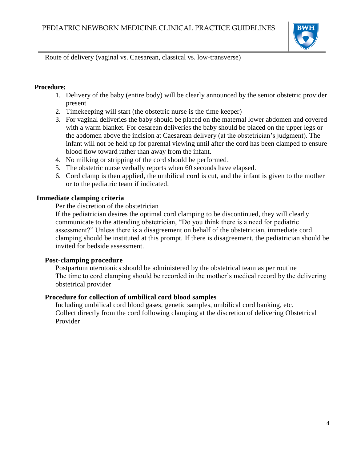

Route of delivery (vaginal vs. Caesarean, classical vs. low-transverse)

#### **Procedure:**

- 1. Delivery of the baby (entire body) will be clearly announced by the senior obstetric provider present
- 2. Timekeeping will start (the obstetric nurse is the time keeper)
- 3. For vaginal deliveries the baby should be placed on the maternal lower abdomen and covered with a warm blanket. For cesarean deliveries the baby should be placed on the upper legs or the abdomen above the incision at Caesarean delivery (at the obstetrician's judgment). The infant will not be held up for parental viewing until after the cord has been clamped to ensure blood flow toward rather than away from the infant.
- 4. No milking or stripping of the cord should be performed.
- 5. The obstetric nurse verbally reports when 60 seconds have elapsed.
- 6. Cord clamp is then applied, the umbilical cord is cut, and the infant is given to the mother or to the pediatric team if indicated.

# **Immediate clamping criteria**

Per the discretion of the obstetrician

If the pediatrician desires the optimal cord clamping to be discontinued, they will clearly communicate to the attending obstetrician, "Do you think there is a need for pediatric assessment?" Unless there is a disagreement on behalf of the obstetrician, immediate cord clamping should be instituted at this prompt. If there is disagreement, the pediatrician should be invited for bedside assessment.

# **Post-clamping procedure**

Postpartum uterotonics should be administered by the obstetrical team as per routine The time to cord clamping should be recorded in the mother's medical record by the delivering obstetrical provider

# **Procedure for collection of umbilical cord blood samples**

Including umbilical cord blood gases, genetic samples, umbilical cord banking, etc. Collect directly from the cord following clamping at the discretion of delivering Obstetrical Provider